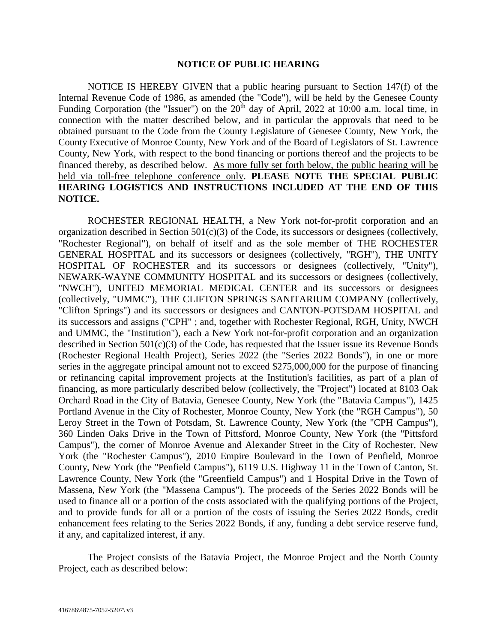## **NOTICE OF PUBLIC HEARING**

NOTICE IS HEREBY GIVEN that a public hearing pursuant to Section 147(f) of the Internal Revenue Code of 1986, as amended (the "Code"), will be held by the Genesee County Funding Corporation (the "Issuer") on the  $20<sup>th</sup>$  day of April, 2022 at 10:00 a.m. local time, in connection with the matter described below, and in particular the approvals that need to be obtained pursuant to the Code from the County Legislature of Genesee County, New York, the County Executive of Monroe County, New York and of the Board of Legislators of St. Lawrence County, New York, with respect to the bond financing or portions thereof and the projects to be financed thereby, as described below. As more fully set forth below, the public hearing will be held via toll-free telephone conference only. **PLEASE NOTE THE SPECIAL PUBLIC HEARING LOGISTICS AND INSTRUCTIONS INCLUDED AT THE END OF THIS NOTICE.**

ROCHESTER REGIONAL HEALTH, a New York not-for-profit corporation and an organization described in Section 501(c)(3) of the Code, its successors or designees (collectively, "Rochester Regional"), on behalf of itself and as the sole member of THE ROCHESTER GENERAL HOSPITAL and its successors or designees (collectively, "RGH"), THE UNITY HOSPITAL OF ROCHESTER and its successors or designees (collectively, "Unity"), NEWARK-WAYNE COMMUNITY HOSPITAL and its successors or designees (collectively, "NWCH"), UNITED MEMORIAL MEDICAL CENTER and its successors or designees (collectively, "UMMC"), THE CLIFTON SPRINGS SANITARIUM COMPANY (collectively, "Clifton Springs") and its successors or designees and CANTON-POTSDAM HOSPITAL and its successors and assigns ("CPH" ; and, together with Rochester Regional, RGH, Unity, NWCH and UMMC, the "Institution"), each a New York not-for-profit corporation and an organization described in Section 501(c)(3) of the Code, has requested that the Issuer issue its Revenue Bonds (Rochester Regional Health Project), Series 2022 (the "Series 2022 Bonds"), in one or more series in the aggregate principal amount not to exceed \$275,000,000 for the purpose of financing or refinancing capital improvement projects at the Institution's facilities, as part of a plan of financing, as more particularly described below (collectively, the "Project") located at 8103 Oak Orchard Road in the City of Batavia, Genesee County, New York (the "Batavia Campus"), 1425 Portland Avenue in the City of Rochester, Monroe County, New York (the "RGH Campus"), 50 Leroy Street in the Town of Potsdam, St. Lawrence County, New York (the "CPH Campus"), 360 Linden Oaks Drive in the Town of Pittsford, Monroe County, New York (the "Pittsford Campus"), the corner of Monroe Avenue and Alexander Street in the City of Rochester, New York (the "Rochester Campus"), 2010 Empire Boulevard in the Town of Penfield, Monroe County, New York (the "Penfield Campus"), 6119 U.S. Highway 11 in the Town of Canton, St. Lawrence County, New York (the "Greenfield Campus") and 1 Hospital Drive in the Town of Massena, New York (the "Massena Campus"). The proceeds of the Series 2022 Bonds will be used to finance all or a portion of the costs associated with the qualifying portions of the Project, and to provide funds for all or a portion of the costs of issuing the Series 2022 Bonds, credit enhancement fees relating to the Series 2022 Bonds, if any, funding a debt service reserve fund, if any, and capitalized interest, if any.

The Project consists of the Batavia Project, the Monroe Project and the North County Project, each as described below: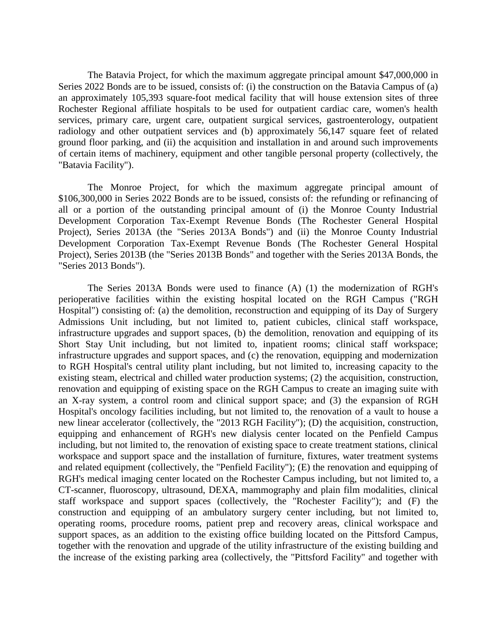The Batavia Project, for which the maximum aggregate principal amount \$47,000,000 in Series 2022 Bonds are to be issued, consists of: (i) the construction on the Batavia Campus of (a) an approximately 105,393 square-foot medical facility that will house extension sites of three Rochester Regional affiliate hospitals to be used for outpatient cardiac care, women's health services, primary care, urgent care, outpatient surgical services, gastroenterology, outpatient radiology and other outpatient services and (b) approximately 56,147 square feet of related ground floor parking, and (ii) the acquisition and installation in and around such improvements of certain items of machinery, equipment and other tangible personal property (collectively, the "Batavia Facility").

The Monroe Project, for which the maximum aggregate principal amount of \$106,300,000 in Series 2022 Bonds are to be issued, consists of: the refunding or refinancing of all or a portion of the outstanding principal amount of (i) the Monroe County Industrial Development Corporation Tax-Exempt Revenue Bonds (The Rochester General Hospital Project), Series 2013A (the "Series 2013A Bonds") and (ii) the Monroe County Industrial Development Corporation Tax-Exempt Revenue Bonds (The Rochester General Hospital Project), Series 2013B (the "Series 2013B Bonds" and together with the Series 2013A Bonds, the "Series 2013 Bonds").

The Series 2013A Bonds were used to finance (A) (1) the modernization of RGH's perioperative facilities within the existing hospital located on the RGH Campus ("RGH Hospital") consisting of: (a) the demolition, reconstruction and equipping of its Day of Surgery Admissions Unit including, but not limited to, patient cubicles, clinical staff workspace, infrastructure upgrades and support spaces, (b) the demolition, renovation and equipping of its Short Stay Unit including, but not limited to, inpatient rooms; clinical staff workspace; infrastructure upgrades and support spaces, and (c) the renovation, equipping and modernization to RGH Hospital's central utility plant including, but not limited to, increasing capacity to the existing steam, electrical and chilled water production systems; (2) the acquisition, construction, renovation and equipping of existing space on the RGH Campus to create an imaging suite with an X-ray system, a control room and clinical support space; and (3) the expansion of RGH Hospital's oncology facilities including, but not limited to, the renovation of a vault to house a new linear accelerator (collectively, the "2013 RGH Facility"); (D) the acquisition, construction, equipping and enhancement of RGH's new dialysis center located on the Penfield Campus including, but not limited to, the renovation of existing space to create treatment stations, clinical workspace and support space and the installation of furniture, fixtures, water treatment systems and related equipment (collectively, the "Penfield Facility"); (E) the renovation and equipping of RGH's medical imaging center located on the Rochester Campus including, but not limited to, a CT-scanner, fluoroscopy, ultrasound, DEXA, mammography and plain film modalities, clinical staff workspace and support spaces (collectively, the "Rochester Facility"); and (F) the construction and equipping of an ambulatory surgery center including, but not limited to, operating rooms, procedure rooms, patient prep and recovery areas, clinical workspace and support spaces, as an addition to the existing office building located on the Pittsford Campus, together with the renovation and upgrade of the utility infrastructure of the existing building and the increase of the existing parking area (collectively, the "Pittsford Facility" and together with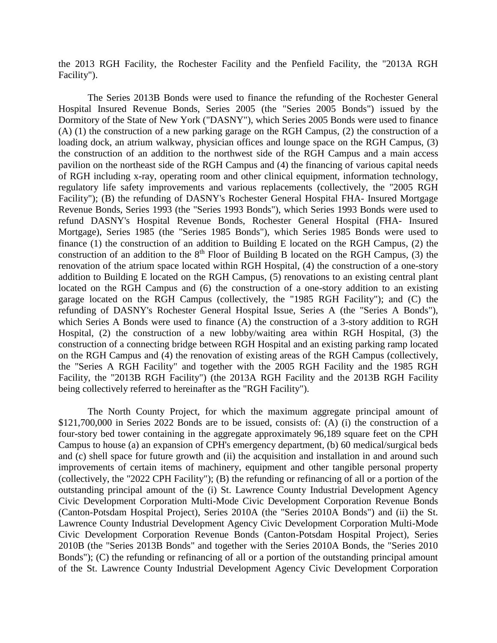the 2013 RGH Facility, the Rochester Facility and the Penfield Facility, the "2013A RGH Facility").

The Series 2013B Bonds were used to finance the refunding of the Rochester General Hospital Insured Revenue Bonds, Series 2005 (the "Series 2005 Bonds") issued by the Dormitory of the State of New York ("DASNY"), which Series 2005 Bonds were used to finance (A) (1) the construction of a new parking garage on the RGH Campus, (2) the construction of a loading dock, an atrium walkway, physician offices and lounge space on the RGH Campus, (3) the construction of an addition to the northwest side of the RGH Campus and a main access pavilion on the northeast side of the RGH Campus and (4) the financing of various capital needs of RGH including x-ray, operating room and other clinical equipment, information technology, regulatory life safety improvements and various replacements (collectively, the "2005 RGH Facility"); (B) the refunding of DASNY's Rochester General Hospital FHA- Insured Mortgage Revenue Bonds, Series 1993 (the "Series 1993 Bonds"), which Series 1993 Bonds were used to refund DASNY's Hospital Revenue Bonds, Rochester General Hospital (FHA- Insured Mortgage), Series 1985 (the "Series 1985 Bonds"), which Series 1985 Bonds were used to finance (1) the construction of an addition to Building E located on the RGH Campus, (2) the construction of an addition to the  $8<sup>th</sup>$  Floor of Building B located on the RGH Campus, (3) the renovation of the atrium space located within RGH Hospital, (4) the construction of a one-story addition to Building E located on the RGH Campus, (5) renovations to an existing central plant located on the RGH Campus and (6) the construction of a one-story addition to an existing garage located on the RGH Campus (collectively, the "1985 RGH Facility"); and (C) the refunding of DASNY's Rochester General Hospital Issue, Series A (the "Series A Bonds"), which Series A Bonds were used to finance (A) the construction of a 3-story addition to RGH Hospital, (2) the construction of a new lobby/waiting area within RGH Hospital, (3) the construction of a connecting bridge between RGH Hospital and an existing parking ramp located on the RGH Campus and (4) the renovation of existing areas of the RGH Campus (collectively, the "Series A RGH Facility" and together with the 2005 RGH Facility and the 1985 RGH Facility, the "2013B RGH Facility") (the 2013A RGH Facility and the 2013B RGH Facility being collectively referred to hereinafter as the "RGH Facility").

The North County Project, for which the maximum aggregate principal amount of \$121,700,000 in Series 2022 Bonds are to be issued, consists of: (A) (i) the construction of a four-story bed tower containing in the aggregate approximately 96,189 square feet on the CPH Campus to house (a) an expansion of CPH's emergency department, (b) 60 medical/surgical beds and (c) shell space for future growth and (ii) the acquisition and installation in and around such improvements of certain items of machinery, equipment and other tangible personal property (collectively, the "2022 CPH Facility"); (B) the refunding or refinancing of all or a portion of the outstanding principal amount of the (i) St. Lawrence County Industrial Development Agency Civic Development Corporation Multi-Mode Civic Development Corporation Revenue Bonds (Canton-Potsdam Hospital Project), Series 2010A (the "Series 2010A Bonds") and (ii) the St. Lawrence County Industrial Development Agency Civic Development Corporation Multi-Mode Civic Development Corporation Revenue Bonds (Canton-Potsdam Hospital Project), Series 2010B (the "Series 2013B Bonds" and together with the Series 2010A Bonds, the "Series 2010 Bonds"); (C) the refunding or refinancing of all or a portion of the outstanding principal amount of the St. Lawrence County Industrial Development Agency Civic Development Corporation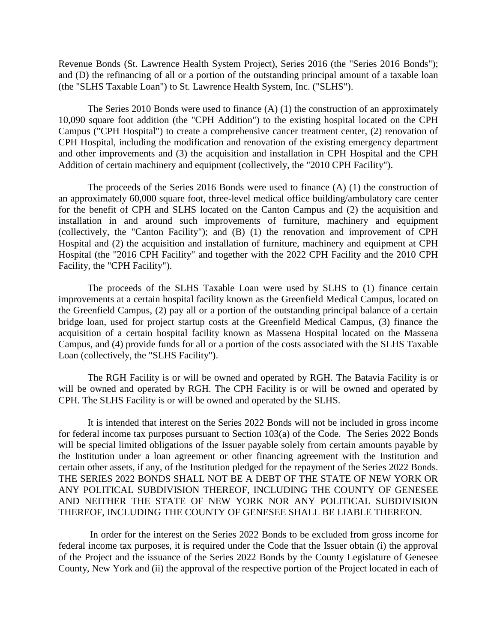Revenue Bonds (St. Lawrence Health System Project), Series 2016 (the "Series 2016 Bonds"); and (D) the refinancing of all or a portion of the outstanding principal amount of a taxable loan (the "SLHS Taxable Loan") to St. Lawrence Health System, Inc. ("SLHS").

The Series 2010 Bonds were used to finance (A) (1) the construction of an approximately 10,090 square foot addition (the "CPH Addition") to the existing hospital located on the CPH Campus ("CPH Hospital") to create a comprehensive cancer treatment center, (2) renovation of CPH Hospital, including the modification and renovation of the existing emergency department and other improvements and (3) the acquisition and installation in CPH Hospital and the CPH Addition of certain machinery and equipment (collectively, the "2010 CPH Facility").

The proceeds of the Series 2016 Bonds were used to finance (A) (1) the construction of an approximately 60,000 square foot, three-level medical office building/ambulatory care center for the benefit of CPH and SLHS located on the Canton Campus and (2) the acquisition and installation in and around such improvements of furniture, machinery and equipment (collectively, the "Canton Facility"); and (B) (1) the renovation and improvement of CPH Hospital and (2) the acquisition and installation of furniture, machinery and equipment at CPH Hospital (the "2016 CPH Facility" and together with the 2022 CPH Facility and the 2010 CPH Facility, the "CPH Facility").

The proceeds of the SLHS Taxable Loan were used by SLHS to (1) finance certain improvements at a certain hospital facility known as the Greenfield Medical Campus, located on the Greenfield Campus, (2) pay all or a portion of the outstanding principal balance of a certain bridge loan, used for project startup costs at the Greenfield Medical Campus, (3) finance the acquisition of a certain hospital facility known as Massena Hospital located on the Massena Campus, and (4) provide funds for all or a portion of the costs associated with the SLHS Taxable Loan (collectively, the "SLHS Facility").

The RGH Facility is or will be owned and operated by RGH. The Batavia Facility is or will be owned and operated by RGH. The CPH Facility is or will be owned and operated by CPH. The SLHS Facility is or will be owned and operated by the SLHS.

It is intended that interest on the Series 2022 Bonds will not be included in gross income for federal income tax purposes pursuant to Section 103(a) of the Code. The Series 2022 Bonds will be special limited obligations of the Issuer payable solely from certain amounts payable by the Institution under a loan agreement or other financing agreement with the Institution and certain other assets, if any, of the Institution pledged for the repayment of the Series 2022 Bonds. THE SERIES 2022 BONDS SHALL NOT BE A DEBT OF THE STATE OF NEW YORK OR ANY POLITICAL SUBDIVISION THEREOF, INCLUDING THE COUNTY OF GENESEE AND NEITHER THE STATE OF NEW YORK NOR ANY POLITICAL SUBDIVISION THEREOF, INCLUDING THE COUNTY OF GENESEE SHALL BE LIABLE THEREON.

In order for the interest on the Series 2022 Bonds to be excluded from gross income for federal income tax purposes, it is required under the Code that the Issuer obtain (i) the approval of the Project and the issuance of the Series 2022 Bonds by the County Legislature of Genesee County, New York and (ii) the approval of the respective portion of the Project located in each of